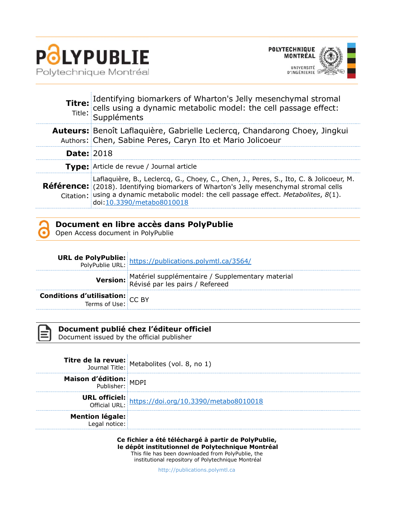

 $\bar{1}$ 



|                   | <b>Titre:</b> Identifying biomarkers of Wharton's Jelly mesenchymal stromal<br>ritle: cells using a dynamic metabolic model: the cell passage effect:<br>Title: Suppléments                                                                                                                                    |
|-------------------|----------------------------------------------------------------------------------------------------------------------------------------------------------------------------------------------------------------------------------------------------------------------------------------------------------------|
|                   | <b>Auteurs:</b> Benoît Laflaquière, Gabrielle Leclercq, Chandarong Choey, Jingkui<br>Authors: Chen, Sabine Peres, Caryn Ito et Mario Jolicoeur                                                                                                                                                                 |
| <b>Date: 2018</b> |                                                                                                                                                                                                                                                                                                                |
|                   | <b>Type:</b> Article de revue / Journal article                                                                                                                                                                                                                                                                |
|                   | Laflaquière, B., Leclercq, G., Choey, C., Chen, J., Peres, S., Ito, C. & Jolicoeur, M.<br><b>Référence:</b> (2018). Identifying biomarkers of Wharton's Jelly mesenchymal stromal cells<br>Citation: using a dynamic metabolic model: the cell passage effect. Metabolites, 8(1).<br>doi:10.3390/metabo8010018 |



Open Access document in PolyPublie

|                                                           | <b>URL de PolyPublie:</b> https://publications.polymtl.ca/3564/<br>PolyPublie URL: https://publications.polymtl.ca/3564/ |
|-----------------------------------------------------------|--------------------------------------------------------------------------------------------------------------------------|
|                                                           | Version: Matériel supplémentaire / Supplementary material<br>Révisé par les pairs / Refereed                             |
| <b>Conditions d'utilisation:</b> $CC$ BY<br>Terms of Use: |                                                                                                                          |

**Document publié chez l'éditeur officiel**

Document issued by the official publisher

|                               | <b>Titre de la revue:</b> Metabolites (vol. 8, no 1)                        |
|-------------------------------|-----------------------------------------------------------------------------|
| <b>Maison d'édition:</b> MDPI |                                                                             |
|                               | <b>URL officiel:</b><br>Official URL: https://doi.org/10.3390/metabo8010018 |
| <b>Mention légale:</b>        |                                                                             |

**Ce fichier a été téléchargé à partir de PolyPublie, le dépôt institutionnel de Polytechnique Montréal**

This file has been downloaded from PolyPublie, the institutional repository of Polytechnique Montréal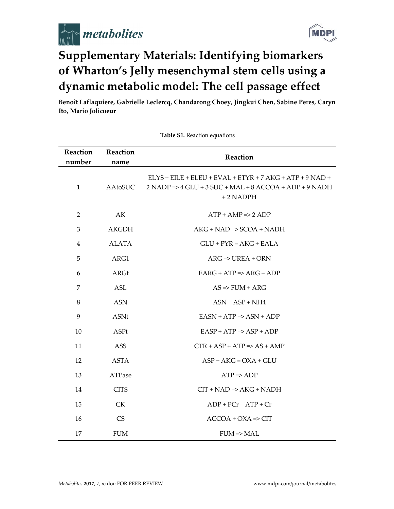



# **Supplementary Materials: Identifying biomarkers** of Wharton's Jelly mesenchymal stem cells using a dynamic metabolic model: The cell passage effect

Benoît Laflaquiere, Gabrielle Leclercq, Chandarong Choey, Jingkui Chen, Sabine Peres, Caryn Ito, Mario Jolicoeur

| Reaction<br>number | Reaction     | Reaction                                                                                                                                   |  |  |  |  |
|--------------------|--------------|--------------------------------------------------------------------------------------------------------------------------------------------|--|--|--|--|
|                    | name         |                                                                                                                                            |  |  |  |  |
| $\mathbf{1}$       | AAtoSUC      | ELYS + EILE + ELEU + EVAL + ETYR + 7 AKG + ATP + 9 NAD +<br>$2$ NADP => $4$ GLU + $3$ SUC + MAL + $8$ ACCOA + ADP + $9$ NADH<br>$+2$ NADPH |  |  |  |  |
| 2                  | AK           | $ATP + AMP \Rightarrow 2 ADP$                                                                                                              |  |  |  |  |
| 3                  | <b>AKGDH</b> | $AKG + NAD \Rightarrow SCOA + NADH$                                                                                                        |  |  |  |  |
| $\overline{4}$     | <b>ALATA</b> | $GLU + PYR = AKG + EALA$                                                                                                                   |  |  |  |  |
| 5                  | ARG1         | $ARG \Rightarrow UREA + ORN$                                                                                                               |  |  |  |  |
| 6                  | <b>ARGt</b>  | $EARG + ATP \Rightarrow ARG + ADP$                                                                                                         |  |  |  |  |
| 7                  | <b>ASL</b>   | $AS \Rightarrow FUM + ARG$                                                                                                                 |  |  |  |  |
| $\,8\,$            | <b>ASN</b>   | $ASN = ASP + NH4$                                                                                                                          |  |  |  |  |
| 9                  | <b>ASNt</b>  | $EASN + ATP \Rightarrow ASN + ADP$                                                                                                         |  |  |  |  |
| 10                 | ASPt         | $EASP + ATP \Rightarrow ASP + ADP$                                                                                                         |  |  |  |  |
| 11                 | <b>ASS</b>   | $CTR + ASP + ATP \Rightarrow AS + AMP$                                                                                                     |  |  |  |  |
| 12                 | <b>ASTA</b>  | $ASP + AKG = OXA + GLU$                                                                                                                    |  |  |  |  |
| 13                 | ATPase       | $ATP \Rightarrow ADP$                                                                                                                      |  |  |  |  |
| 14                 | <b>CITS</b>  | $CIT + NAD \Rightarrow AKG + NADH$                                                                                                         |  |  |  |  |
| 15                 | <b>CK</b>    | $ADP + PCr = ATP + Cr$                                                                                                                     |  |  |  |  |
| 16                 | <b>CS</b>    | $ACCOA + OXA \Rightarrow CIT$                                                                                                              |  |  |  |  |
| 17                 | <b>FUM</b>   | $FUM \Rightarrow MAL$                                                                                                                      |  |  |  |  |

Table S1. Reaction equations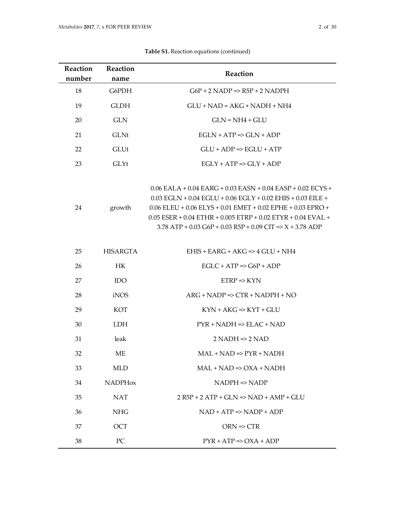| <b>Reaction</b><br>number | Reaction<br>name | Reaction                                                                                                                                                                                                                                                                                                                                                         |  |  |
|---------------------------|------------------|------------------------------------------------------------------------------------------------------------------------------------------------------------------------------------------------------------------------------------------------------------------------------------------------------------------------------------------------------------------|--|--|
| 18                        | G6PDH            | $G6P + 2$ NADP => R5P + 2 NADPH                                                                                                                                                                                                                                                                                                                                  |  |  |
| 19                        | <b>GLDH</b>      | $GLU + NAD = AKG + NADH + NH4$                                                                                                                                                                                                                                                                                                                                   |  |  |
| 20                        | <b>GLN</b>       | $GLN = NH4 + GLU$                                                                                                                                                                                                                                                                                                                                                |  |  |
| 21                        | <b>GLNt</b>      | $EGLN + ATP \Rightarrow GLN + ADP$                                                                                                                                                                                                                                                                                                                               |  |  |
| 22                        | GLUt             | $GLU + ADP \Rightarrow EGLU + ATP$                                                                                                                                                                                                                                                                                                                               |  |  |
| 23                        | GLYt             | $EGLY + ATP \Rightarrow GLY + ADP$                                                                                                                                                                                                                                                                                                                               |  |  |
| 24                        | growth           | $0.06$ EALA + $0.04$ EARG + $0.03$ EASN + $0.04$ EASP + $0.02$ ECYS +<br>$0.03$ EGLN + $0.04$ EGLU + $0.06$ EGLY + $0.02$ EHIS + $0.03$ EILE +<br>$0.06$ ELEU + $0.06$ ELYS + $0.01$ EMET + $0.02$ EPHE + $0.03$ EPRO +<br>$0.05$ ESER + $0.04$ ETHR + $0.005$ ETRP + $0.02$ ETYR + $0.04$ EVAL +<br>$3.78$ ATP + 0.03 G6P + 0.03 R5P + 0.09 CIT => X + 3.78 ADP |  |  |
| 25                        | <b>HISARGTA</b>  | $EHIS + EARG + AKG \Rightarrow 4 GLU + NH4$                                                                                                                                                                                                                                                                                                                      |  |  |
| 26                        | HK               | $EGLC + ATP \Rightarrow G6P + ADP$                                                                                                                                                                                                                                                                                                                               |  |  |
| 27                        | <b>IDO</b>       | $ETRP \Rightarrow KYN$                                                                                                                                                                                                                                                                                                                                           |  |  |
| 28                        | iNOS             | $ARG + NADP \Rightarrow CTR + NADPH + NO$                                                                                                                                                                                                                                                                                                                        |  |  |
| 29                        | <b>KOT</b>       | $KYN + AKG \Rightarrow KYT + GLU$                                                                                                                                                                                                                                                                                                                                |  |  |
| 30                        | <b>LDH</b>       | $PYR + NADH \Rightarrow ELAC + NAD$                                                                                                                                                                                                                                                                                                                              |  |  |
| 31                        | leak             | $2$ NADH $\Rightarrow$ 2 NAD                                                                                                                                                                                                                                                                                                                                     |  |  |
| 32                        | ME               | $MAL + NAD \Rightarrow PYR + NADH$                                                                                                                                                                                                                                                                                                                               |  |  |
| 33                        | <b>MLD</b>       | $MAL + NAD \Rightarrow OXA + NADH$                                                                                                                                                                                                                                                                                                                               |  |  |
| 34                        | <b>NADPHox</b>   | $NADPH \Rightarrow NADP$                                                                                                                                                                                                                                                                                                                                         |  |  |
| 35                        | <b>NAT</b>       | $2 R5P + 2 ATP + GLN \Rightarrow NAD + AMP + GLU$                                                                                                                                                                                                                                                                                                                |  |  |
| 36                        | <b>NHG</b>       | $NAD + ATP \Rightarrow NADP + ADP$                                                                                                                                                                                                                                                                                                                               |  |  |
| 37                        | <b>OCT</b>       | $ORN \Rightarrow CTR$                                                                                                                                                                                                                                                                                                                                            |  |  |
| 38                        | PC               | $PYR + ATP \Rightarrow OXA + ADP$                                                                                                                                                                                                                                                                                                                                |  |  |

**Table S1.** Reaction equations (continued)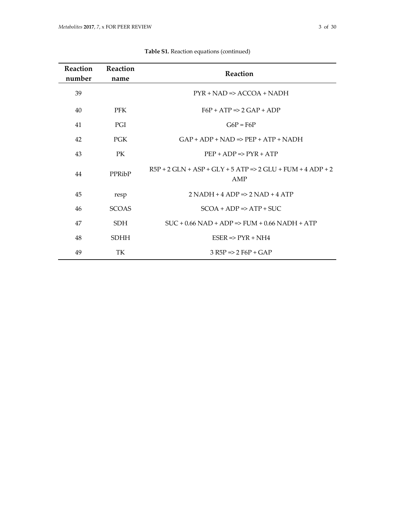| <b>Reaction</b><br>number | Reaction<br>name | Reaction                                                                       |
|---------------------------|------------------|--------------------------------------------------------------------------------|
| 39                        |                  | $PYR + NAD \Rightarrow ACCOA + NADH$                                           |
| 40                        | <b>PFK</b>       | $F6P + ATP \Rightarrow 2 GAP + ADP$                                            |
| 41                        | PGI              | $G6P = F6P$                                                                    |
| 42                        | <b>PGK</b>       | $GAP + ADP + NAD \Rightarrow PEP + ATP + NADH$                                 |
| 43                        | PK               | $PEP + ADP \Rightarrow PYR + ATP$                                              |
| 44                        | PPRibP           | $R5P + 2 GLN + ASP + GI.Y + 5 ATP \Rightarrow 2 GLU + FIJM + 4 ADP + 2$<br>AMP |
| 45                        | resp             | $2 NADH + 4 ADP \Rightarrow 2 NAD + 4 ATP$                                     |
| 46                        | <b>SCOAS</b>     | $SCOA + ADP \Rightarrow ATP + SUC$                                             |
| 47                        | SDH.             | $SUC + 0.66 NAD + ADP \Rightarrow FIIM + 0.66 NADH + ATP$                      |
| 48                        | <b>SDHH</b>      | $ESER \Rightarrow PYR + NH4$                                                   |
| 49                        | TK               | $3 R5P \Rightarrow 2 F6P + GAP$                                                |

|  |  | Table S1. Reaction equations (continued) |  |
|--|--|------------------------------------------|--|
|--|--|------------------------------------------|--|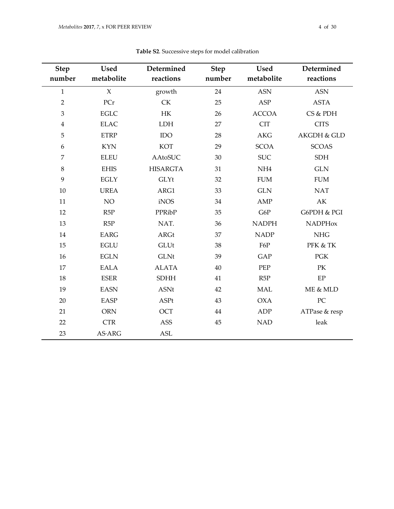|                       | <b>Used</b>    | Determined      |                       | <b>Used</b>     | Determined             |
|-----------------------|----------------|-----------------|-----------------------|-----------------|------------------------|
| <b>Step</b><br>number | metabolite     | reactions       | <b>Step</b><br>number | metabolite      | reactions              |
| $\mathbf{1}$          | $\chi$         | growth          | 24                    | <b>ASN</b>      | <b>ASN</b>             |
| $\overline{2}$        | PCr            | <b>CK</b>       | 25                    | ASP             | <b>ASTA</b>            |
|                       | <b>EGLC</b>    |                 |                       |                 | CS & PDH               |
| 3                     |                | HK              | 26                    | <b>ACCOA</b>    |                        |
| $\overline{4}$        | <b>ELAC</b>    | LDH             | 27                    | <b>CIT</b>      | <b>CITS</b>            |
| 5                     | <b>ETRP</b>    | <b>IDO</b>      | 28                    | <b>AKG</b>      | <b>AKGDH &amp; GLD</b> |
| 6                     | <b>KYN</b>     | <b>KOT</b>      | 29                    | <b>SCOA</b>     | <b>SCOAS</b>           |
| 7                     | <b>ELEU</b>    | <b>AAtoSUC</b>  | 30                    | <b>SUC</b>      | <b>SDH</b>             |
| 8                     | <b>EHIS</b>    | <b>HISARGTA</b> | 31                    | NH <sub>4</sub> | <b>GLN</b>             |
| 9                     | <b>EGLY</b>    | GLYt            | 32                    | <b>FUM</b>      | <b>FUM</b>             |
| 10                    | <b>UREA</b>    | ARG1            | 33                    | <b>GLN</b>      | <b>NAT</b>             |
| 11                    | NO             | iNOS            | 34                    | AMP             | AK                     |
| 12                    | R5P            | PPRibP          | 35                    | G6P             | G6PDH & PGI            |
| 13                    | R5P            | NAT.            | 36                    | <b>NADPH</b>    | <b>NADPHox</b>         |
| 14                    | <b>EARG</b>    | <b>ARGt</b>     | 37                    | <b>NADP</b>     | NHG                    |
| 15                    | <b>EGLU</b>    | <b>GLUt</b>     | 38                    | F6P             | PFK & TK               |
| 16                    | <b>EGLN</b>    | <b>GLNt</b>     | 39                    | <b>GAP</b>      | <b>PGK</b>             |
| 17                    | <b>EALA</b>    | <b>ALATA</b>    | 40                    | PEP             | PK                     |
| 18                    | <b>ESER</b>    | <b>SDHH</b>     | 41                    | R5P             | EP                     |
| 19                    | <b>EASN</b>    | <b>ASNt</b>     | 42                    | <b>MAL</b>      | ME & MLD               |
| 20                    | <b>EASP</b>    | ASPt            | 43                    | <b>OXA</b>      | PC                     |
| 21                    | <b>ORN</b>     | <b>OCT</b>      | 44                    | ADP             | ATPase & resp          |
| 22                    | <b>CTR</b>     | <b>ASS</b>      | 45                    | <b>NAD</b>      | leak                   |
| 23                    | <b>AS</b> ·ARG | <b>ASL</b>      |                       |                 |                        |

## **Table S2**. Successive steps for model calibration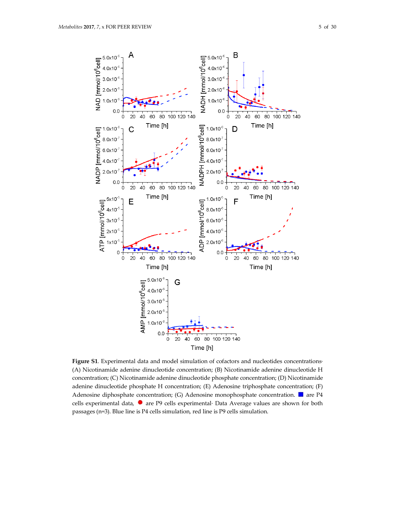

**Figure S1**. Experimental data and model simulation of cofactors and nucleotides concentrations· (A) Nicotinamide adenine dinucleotide concentration; (B) Nicotinamide adenine dinucleotide H concentration; (C) Nicotinamide adenine dinucleotide phosphate concentration; (D) Nicotinamide adenine dinucleotide phosphate H concentration; (E) Adenosine triphosphate concentration; (F) Adenosine diphosphate concentration; (G) Adenosine monophosphate concentration.  $\blacksquare$  are P4 cells experimental data,  $\bullet$  are P9 cells experimental· Data Average values are shown for both passages (n=3). Blue line is P4 cells simulation, red line is P9 cells simulation.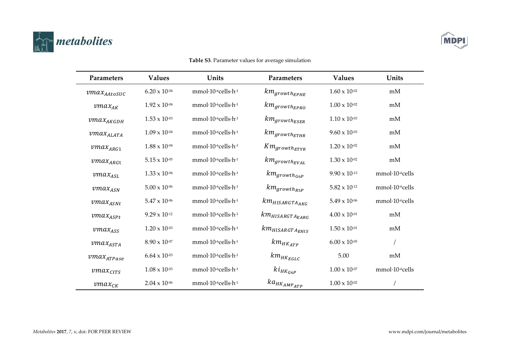



#### Parameters **Values Values** Parameters Units Units mmol·10-6cells·h-1  $km_{growth_{EPHE}}$  $1.60 \times 10^{-02}$  $6.20 \times 10^{-04}$  $mM$  $vmax_{AAtosUC}$  $km_{growthEPRO}$  $1.00 \times 10^{-02}$  $1.92 \times 10^{-04}$ mmol·10-6cells-h-1 mM  $\nu max_{AK}$ mmol·10-6cells-h-1  $km_{growthESER}$  $1.53 \times 10^{-03}$  $1.10 \times 10^{-03}$  $\mathit{vmax}_{\alpha\kappa\varsigma\sigma\mu}$ mM mmol·10-6cells-h-1  $9.60 \times 10^{-03}$  $km_{growthETHR}$  $1.09 \times 10^{-04}$  $mM$  $vmax_{ALATA}$  $1.88 \times 10^{-04}$ mmol·10-6cells-h-1  $Km_{growth_{ETYR}}$  $1.20 \times 10^{-02}$ mM  $vmax_{ARG1}$ mmol·10-6cells-h-1  $km_{growth_{EVAL}}$  $1.30 \times 10^{-02}$  $vmax_{ARGt}$  $5.15 \times 10^{-05}$  $mM$  $km_{growth_{G6P}}$  $1.33 \times 10^{-04}$ mmol·10-6cells-h-1  $9.90 \times 10^{-13}$ mmol·10-6cells  $\nu max_{ASL}$ mmol·10-6cells-h-1  $km_{arowth_{R5P}}$  $\nu max_{ASN}$  $5.00 \times 10^{-06}$  $5.82 \times 10^{-12}$ mmol·10-6cells  $km_{HISARGTA_{AKG}}$  $5.47 \times 10^{-06}$ mmol·10-6cells-h-1  $5.49 \times 10^{-06}$ mmol·10-6cells  $\mathit{vmax}_{\mathit{asht}}$  $km_{HISARGTA_{EARG}}$ mmol·10-6cells-h-1  $9.29 \times 10^{-12}$  $4.00 \times 10^{-01}$ mM  $vmax_{ASPL}$ mmol·10-6cells-h-1  $km_{HISARGTA_{EHIS}}$  $1.20 \times 10^{-03}$  $1.50 \times 10^{-01}$ mM  $\nu max_{ASS}$  $km$ <sub>HKATP</sub>  $8.90 \times 10^{-07}$  $mmol·10$ <sup>-6</sup>cells $\cdot$ h<sup>-1</sup>  $6.00 \times 10^{-05}$  $\sqrt{ }$  $\mathit{vmax}_{\mathit{ASTA}}$  $km$ <sub>HKEGLC</sub>  $6.64 \times 10^{-03}$ mmol·10-6cells-h-1 5.00 mM  $vmax$ <sub>ATPase</sub>  $ki_{HK_{G6P}}$  $1.08 \times 10^{-03}$ mmol·10-6cells·h-1  $1.00 \times 10^{-07}$ mmol·10<sup>-6</sup>cells  $vmax_{CITS}$  $ka_{HK_{AMP_{ATP}}}$ mmol·10<sup>-6</sup>cells·h<sup>-1</sup>  $1.00 \times 10^{-02}$  $2.04 \times 10^{-06}$  $\sqrt{ }$  $vmax_{CK}$

### Table S3. Parameter values for average simulation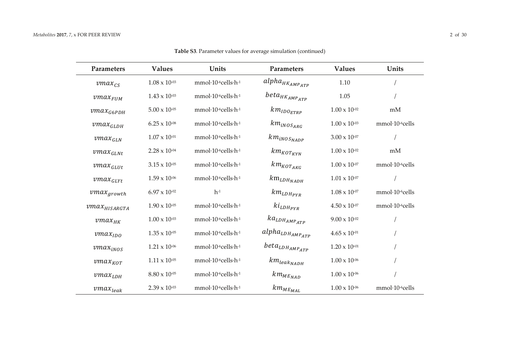| Parameters               | <b>Values</b>          | Units              | <b>Parameters</b>                     | <b>Values</b>          | Units          |
|--------------------------|------------------------|--------------------|---------------------------------------|------------------------|----------------|
| $vmax_{CS}$              | $1.08 \times 10^{-03}$ | mmol·10-6cells-h-1 | $alpha_{HK_{AMP_{ATP}}}$              | 1.10                   |                |
| $\nu max$ <sub>FUM</sub> | $1.43 \times 10^{-03}$ | mmol·10-6cells-h-1 | $beta_{HK_{AMP_{ATP}}}$               | 1.05                   |                |
| $\nu max_{G6PDH}$        | $5.00 \times 10^{-05}$ | mmol·10-6cells-h-1 | $km_{IDO_{ETRP}}$                     | $1.00 \times 10^{-02}$ | mM             |
| $vmax$ <sub>GLDH</sub>   | $6.25 \times 10^{-08}$ | mmol·10-6cells-h-1 | $km_{iNOS_{ARG}}$                     | $1.00 \times 10^{-03}$ | mmol·10-6cells |
| $vmax_{GLN}$             | $1.07 \times 10^{-01}$ | mmol·10-6cells-h-1 | $km_{iNOSNADP}$                       | $3.00 \times 10^{-07}$ |                |
| $vmax_{GLNt}$            | $2.28 \times 10^{-04}$ | mmol·10-6cells-h-1 | $km_{KOT_{KYN}}$                      | $1.00 \times 10^{-02}$ | mM             |
| $vmax_{GLUt}$            | $3.15 \times 10^{-05}$ | mmol·10-6cells-h-1 | $km_{KOT_{AKG}}$                      | $1.00 \times 10^{-07}$ | mmol·10-6cells |
| $vmax_{GLYt}$            | $1.59 \times 10^{.06}$ | mmol·10-6cells-h-1 | $km$ <sub>LDHNADH</sub>               | $1.01 \times 10^{-07}$ |                |
| $vmax_{growth}$          | $6.97 \times 10^{-02}$ | $h-1$              | $km_{LDH_{PYR}}$                      | $1.08 \times 10^{-07}$ | mmol·10-6cells |
| $\nu max_{HISARGTA}$     | $1.90 \times 10^{-05}$ | mmol·10-6cells-h-1 | $ki_{LDH_{PYR}}$                      | $4.50 \times 10^{-07}$ | mmol·10-6cells |
| $vmax_{HK}$              | $1.00 \times 10^{-03}$ | mmol·10-6cells-h-1 | $ka$ <sub>LDHAMP</sub> <sub>ATP</sub> | $9.00 \times 10^{-02}$ |                |
| $\nu$ ma $x_{IDO}$       | $1.35 \times 10^{-05}$ | mmol·10-6cells-h-1 | $alpha_{LDH_{AMP_{ATP}}$              | $4.65 \times 10^{-01}$ |                |
| vmax <sub>inos</sub>     | $1.21 \times 10^{-06}$ | mmol·10-6cells-h-1 | $beta_{LDH_{AMP_{ATP}}$               | $1.20 \times 10^{+01}$ |                |
| $vmax_{KOT}$             | $1.11 \times 10^{-05}$ | mmol·10-6cells-h-1 | $km_{leak_{NADH}}$                    | $1.00 \times 10^{-06}$ |                |
| $vmax$ <sub>LDH</sub>    | $8.80 \times 10^{-05}$ | mmol·10-6cells-h-1 | $km_{ME_{NAD}}$                       | $1.00 \times 10^{-06}$ |                |
| $vmax_{leak}$            | $2.39 \times 10^{-03}$ | mmol·10-6cells-h-1 | $km_{ME_{MAL}}$                       | $1.00 \times 10^{-06}$ | mmol·10-6cells |

**Table S3**. Parameter values for average simulation (continued)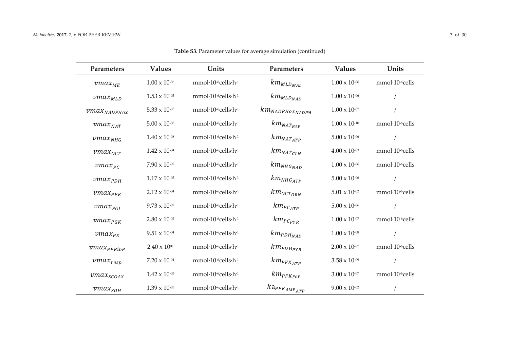| Parameters                         | <b>Values</b>          | Units                                                 | Parameters                                  | <b>Values</b>          | Units                       |
|------------------------------------|------------------------|-------------------------------------------------------|---------------------------------------------|------------------------|-----------------------------|
| $\nu max_{ME}$                     | $1.00 \times 10^{-06}$ | mmol·10-6cells-h-1                                    | $km_{MLD_{MAL}}$                            | $1.00 \times 10^{-06}$ | mmol·10-6cells              |
| $vmax_{MLD}$                       | $1.53 \times 10^{-03}$ | mmol·10-6cells-h-1                                    | $km_{MLD_{NAD}}$                            | $1.00 \times 10^{-06}$ |                             |
| $\textit{vmax}_{\textit{NADPHox}}$ | $5.33 \times 10^{-05}$ | mmol·10-6cells-h-1                                    | $km$ <sub>NADPHO</sub> $x$ <sub>NADPH</sub> | $1.00 \times 10^{-07}$ |                             |
| $\nu max_{NAT}$                    | $5.00 \times 10^{-08}$ | mmol·10-6cells-h-1                                    | $km_{NAT_{R5P}}$                            | $1.00 \times 10^{-10}$ | mmol·10-6cells              |
| $\nu max_{NHG}$                    | $1.40 \times 10^{-08}$ | mmol·10-6cells-h-1                                    | $km_{NAT_{ATP}}$                            | $5.00 \times 10^{-06}$ |                             |
| $vmax_{0CT}$                       | $1.42 \times 10^{-04}$ | mmol·10-6cells-h-1                                    | $km_{NATGLN}$                               | $4.00 \times 10^{-03}$ | $mmol·10-6cells$            |
| $\mathit{vmax}_{\mathit{PC}}$      | $7.90 \times 10^{-07}$ | $mmol·10-6cells·h-1$                                  | $km_{NHG_{NAD}}$                            | $1.00 \times 10^{-06}$ | mmol·10-6cells              |
| $vmax_{PDH}$                       | $1.17 \times 10^{-03}$ | mmol·10-6cells-h-1                                    | $km_{NHG_{ATP}}$                            | $5.00 \times 10^{-06}$ |                             |
| $\textit{vmax}_{\textit{PFK}}$     | $2.12 \times 10^{-04}$ | $mmol·10$ <sup>-6</sup> cells $\cdot$ h <sup>-1</sup> | $km_{OCT_{ORN}}$                            | $5.01\times10^{.02}$   | mmol·10 <sup>-6</sup> cells |
| $vmax_{PGI}$                       | $9.73 \times 10^{-02}$ | $mmol·10$ <sup>-6</sup> cells $\cdot$ h <sup>-1</sup> | $km_{PC_{ATP}}$                             | $5.00\times10^{.06}$   |                             |
| $vmax_{\textit{PGK}}$              | $2.80 \times 10^{-02}$ | mmol·10-6cells-h-1                                    | $km_{PC_{PYR}}$                             | $1.00 \times 10^{-07}$ | mmol·10-6cells              |
| $vmax_{PK}$                        | $9.51 \times 10^{-04}$ | mmol·10-6cells-h-1                                    | $km_{PDH_{NAD}}$                            | $1.00 \times 10^{-08}$ |                             |
| $\nu max_{PPRibP}$                 | $2.40 \times 10^{01}$  | mmol·10-6cells-h-1                                    | $km_{PDH_{PYR}}$                            | $2.00 \times 10^{-07}$ | mmol·10-6cells              |
| $\textit{vmax}_{resp}$             | $7.20 \times 10^{-04}$ | mmol·10-6cells-h-1                                    | $km_{PFK_{ATP}}$                            | $3.58 \times 10^{-09}$ |                             |
| $vmax_{SCOAS}$                     | $1.42 \times 10^{-03}$ | mmol·10-6cells-h-1                                    | $km_{PFK_{F6P}}$                            | $3.00 \times 10^{-07}$ | mmol-10-6cells              |
| $vmax_{SDH}$                       | $1.39 \times 10^{-03}$ | mmol·10-6cells-h-1                                    | $ka_{PFK_{AMP_{ATP}}}$                      | $9.00 \times 10^{-02}$ |                             |

**Table S3**. Parameter values for average simulation (continued)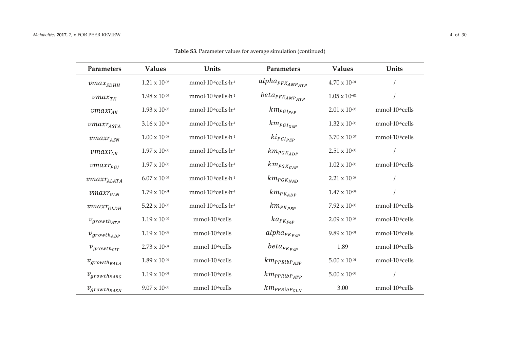| Parameters                        | <b>Values</b>          | Units                         | Parameters                                   | <b>Values</b>          | Units                       |
|-----------------------------------|------------------------|-------------------------------|----------------------------------------------|------------------------|-----------------------------|
| $vmax$ <sub>SDHH</sub>            | $1.21 \times 10^{-05}$ | mmol·10-6cells·h-1            | $alpha_{\scriptscriptstyle PFK_{AMP_{ATP}}}$ | $4.70 \times 10^{-01}$ |                             |
| $vmax_{TK}$                       | $1.98 \times 10^{-06}$ | mmol·10-6cells-h-1            | $beta_{PFK_{AMP_{ATP}}$                      | $1.05\times10^{+01}$   |                             |
| $vmaxr_{AK}$                      | $1.93 \times 10^{-05}$ | mmol·10-6cells·h-1            | $km_{PGI_{F6P}}$                             | $2.01 \times 10^{-05}$ | mmol·10 <sup>-6</sup> cells |
| $vmaxr_{ASTA}$                    | $3.16 \times 10^{-04}$ | mmol·10-6cells-h-1            | $km_{PGI_{G6P}}$                             | $1.32 \times 10^{-06}$ | mmol·10-6cells              |
| $\textit{vmaxr}_{\textit{ASN}}$   | $1.00 \times 10^{-08}$ | $mmol·10-6cells·h-1$          | $ki_{PGI_{PEP}}$                             | $3.70 \times 10^{-07}$ | mmol·10 <sup>-6</sup> cells |
| $vmaxr_{CK}$                      | $1.97\times10^{.06}$   | mmol·10-6cells-h-1            | $km_{\it{PGK}_{ADP}}$                        | $2.51 \times 10^{-08}$ |                             |
| $vmaxr_{PGI}$                     | $1.97 \times 10^{-06}$ | mmol·10-6cells·h-1            | $km_{PGK_{GAP}}$                             | $1.02 \times 10^{-06}$ | mmol·10 <sup>-6</sup> cells |
| $\textit{vmaxr}_{\textit{ALATA}}$ | $6.07 \times 10^{-05}$ | mmol·10-6cells·h-1            | $km_{\it{PGK}_{NAD}}$                        | $2.21 \times 10^{-08}$ |                             |
| $vmaxr_{GLN}$                     | $1.79 \times 10^{-01}$ | mmol·10-6cells-h-1            | $km_{PK_{ADP}}$                              | $1.47 \times 10^{-04}$ |                             |
| $vmaxr_{GLDH}$                    | $5.22 \times 10^{-05}$ | $mmol·10-6cells·h-1$          | $km_{PK_{PEP}}$                              | $7.92 \times 10^{-08}$ | mmol·10 <sup>-6</sup> cells |
| $v_{growth_{ATP}}$                | $1.19 \times 10^{-02}$ | mmol·10 <sup>-6</sup> cells   | $ka_{PK_{F6P}}$                              | $2.09 \times 10^{-08}$ | mmol·10 <sup>-6</sup> cells |
| $v_{growth_{ADP}}$                | $1.19 \times 10^{-02}$ | mmol·10 <sup>-6</sup> cells   | $alpha_{PK_{F6P}}$                           | $9.89 \times 10^{-01}$ | mmol·10 <sup>-6</sup> cells |
| $v_{growth_{CIT}}$                | $2.73 \times 10^{-04}$ | $mmol·10$ <sup>-6</sup> cells | $beta_{PK_{F6P}}$                            | 1.89                   | mmol·10-6cells              |
| $v_{growth_{EALA}}$               | $1.89 \times 10^{-04}$ | mmol·10 <sup>-6</sup> cells   | $km_{PPRibP_{ASP}}$                          | $5.00 \times 10^{-01}$ | mmol·10 <sup>-6</sup> cells |
| $v_{growth_{EARG}}$               | $1.19 \times 10^{-04}$ | mmol·10-6cells                | $km_{PPRibP_{ATP}}$                          | $5.00 \times 10^{-06}$ |                             |
| $v_{growth_{EASN}}$               | $9.07 \times 10^{-05}$ | mmol·10-6cells                | $km_{PPRibP_{GLN}}$                          | 3.00                   | mmol·10-6cells              |

**Table S3**. Parameter values for average simulation (continued)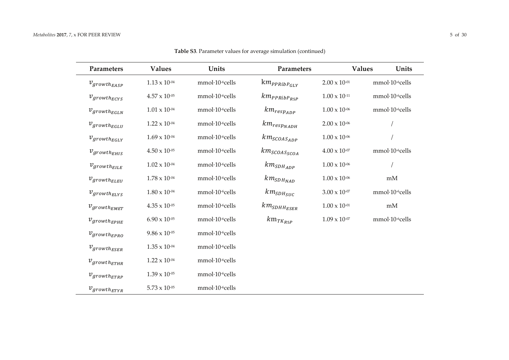| <b>Parameters</b>   | <b>Values</b>          | Units                       | Parameters          | <b>Values</b>          | Units                       |
|---------------------|------------------------|-----------------------------|---------------------|------------------------|-----------------------------|
| $v_{growth_{EASP}}$ | $1.13 \times 10^{-04}$ | mmol·10-6cells              | $km_{PPRibP_{GLY}}$ | $2.00 \times 10^{-01}$ | mmol·10-6cells              |
| $v_{growth_{ECYS}}$ | $4.57 \times 10^{-05}$ | mmol·10-6cells              | $km_{PPRibP_{R5P}}$ | $1.00 \times 10^{-11}$ | mmol·10-6cells              |
| $v_{growth_{EGLN}}$ | $1.01 \times 10^{-04}$ | mmol·10-6cells              | $km_{resp_{ADP}}$   | $1.00\times10^{.06}$   | mmol·10 <sup>-6</sup> cells |
| $v_{growth_{EGLU}}$ | $1.22 \times 10^{-04}$ | mmol·10-6cells              | $km_{resp_{NADH}}$  | $2.00 \times 10^{-06}$ |                             |
| $v_{growth_{EGLY}}$ | $1.69 \times 10^{-04}$ | mmol·10-6cells              | $km_{SCOAS_{ADP}}$  | $1.00 \times 10^{-06}$ |                             |
| $v_{growth_{EHIS}}$ | $4.50\times10^{.05}$   | mmol·10-6cells              | $km_{SCOAS_{SCOA}}$ | $4.00 \times 10^{-07}$ | mmol·10 <sup>-6</sup> cells |
| $v_{growth_{EILE}}$ | $1.02 \times 10^{-04}$ | mmol·10 <sup>-6</sup> cells | $km_{SDH_{ADP}}$    | $1.00 \times 10^{-06}$ |                             |
| $v_{growth_{ELEU}}$ | $1.78 \times 10^{-04}$ | mmol·10-6cells              | $km_{SDH_{NAD}}$    | $1.00 \times 10^{-06}$ | mM                          |
| $v_{growth_{ELYS}}$ | $1.80 \times 10^{-04}$ | mmol·10 <sup>-6</sup> cells | $km_{SDH_{SUC}}$    | $3.00 \times 10^{-07}$ | mmol·10 <sup>-6</sup> cells |
| $v_{growth_{EMET}}$ | $4.35 \times 10^{-05}$ | mmol·10 <sup>-6</sup> cells | $km_{SDHH_{ESER}}$  | $1.00 \times 10^{-01}$ | mM                          |
| $v_{growth_{EPHE}}$ | $6.90 \times 10^{-05}$ | mmol·10-6cells              | $km_{T K_{R5P}}$    | $1.09 \times 10^{-07}$ | mmol·10-6cells              |
| $v_{growth_{EPRO}}$ | $9.86 \times 10^{-05}$ | mmol·10 <sup>-6</sup> cells |                     |                        |                             |
| $v_{growth_{ESER}}$ | $1.35 \times 10^{-04}$ | mmol·10-6cells              |                     |                        |                             |
| $v_{growth_{ETHR}}$ | $1.22 \times 10^{-04}$ | mmol-10-6cells              |                     |                        |                             |
| $v_{growth_{ETRP}}$ | $1.39 \times 10^{-05}$ | mmol·10-6cells              |                     |                        |                             |
| $v_{growth_{ETYR}}$ | $5.73 \times 10^{-05}$ | mmol·10-6cells              |                     |                        |                             |

Table S3. Parameter values for average simulation (continued)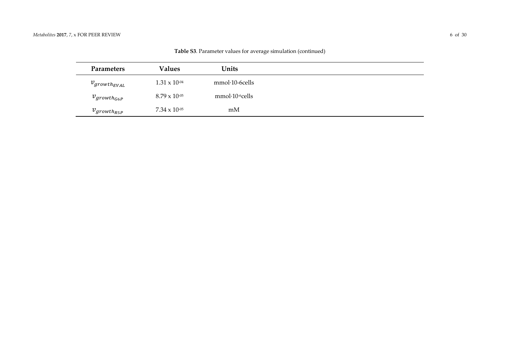| <b>Parameters</b>   | <b>Values</b>          | Units                         |
|---------------------|------------------------|-------------------------------|
| $v_{growth_{EVAL}}$ | $1.31 \times 10^{-04}$ | $mmol-10-6$ cells             |
| $v_{growth_{G6P}}$  | $8.79 \times 10^{-05}$ | $mmol·10$ <sup>-6</sup> cells |
| $v_{growth_{R5P}}$  | $7.34 \times 10^{-05}$ | mM                            |

**Table S3**. Parameter values for average simulation (continued)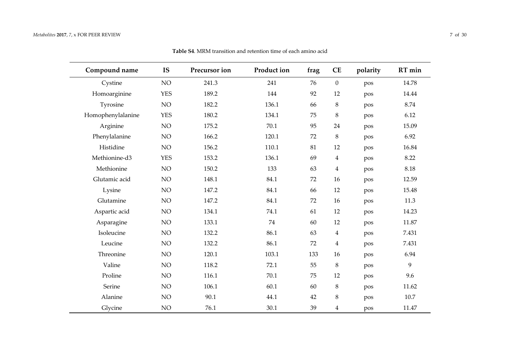| Compound name     | <b>IS</b>  | Precursor ion | Product ion | frag | <b>CE</b>               | polarity | RT min |
|-------------------|------------|---------------|-------------|------|-------------------------|----------|--------|
| Cystine           | NO         | 241.3         | 241         | 76   | $\mathbf{0}$            | pos      | 14.78  |
| Homoarginine      | <b>YES</b> | 189.2         | 144         | 92   | 12                      | pos      | 14.44  |
| Tyrosine          | NO         | 182.2         | 136.1       | 66   | $\,8\,$                 | pos      | 8.74   |
| Homophenylalanine | <b>YES</b> | 180.2         | 134.1       | 75   | $\,8\,$                 | pos      | 6.12   |
| Arginine          | NO         | 175.2         | 70.1        | 95   | 24                      | pos      | 15.09  |
| Phenylalanine     | NO         | 166.2         | 120.1       | 72   | $\,8\,$                 | pos      | 6.92   |
| Histidine         | NO         | 156.2         | 110.1       | 81   | 12                      | pos      | 16.84  |
| Methionine-d3     | <b>YES</b> | 153.2         | 136.1       | 69   | $\overline{4}$          | pos      | 8.22   |
| Methionine        | NO         | 150.2         | 133         | 63   | $\overline{\mathbf{4}}$ | pos      | 8.18   |
| Glutamic acid     | NO         | 148.1         | 84.1        | 72   | 16                      | pos      | 12.59  |
| Lysine            | NO         | 147.2         | 84.1        | 66   | 12                      | pos      | 15.48  |
| Glutamine         | NO         | 147.2         | 84.1        | 72   | 16                      | pos      | 11.3   |
| Aspartic acid     | NO         | 134.1         | 74.1        | 61   | $12\,$                  | pos      | 14.23  |
| Asparagine        | NO         | 133.1         | 74          | 60   | 12                      | pos      | 11.87  |
| Isoleucine        | NO         | 132.2         | 86.1        | 63   | $\overline{4}$          | pos      | 7.431  |
| Leucine           | NO         | 132.2         | 86.1        | 72   | $\overline{4}$          | pos      | 7.431  |
| Threonine         | NO         | 120.1         | 103.1       | 133  | 16                      | pos      | 6.94   |
| Valine            | NO         | 118.2         | 72.1        | 55   | $\,8\,$                 | pos      | 9      |
| Proline           | NO         | 116.1         | 70.1        | 75   | 12                      | pos      | 9.6    |
| Serine            | NO         | 106.1         | 60.1        | 60   | $\,8\,$                 | pos      | 11.62  |
| Alanine           | NO         | 90.1          | 44.1        | 42   | $\,8\,$                 | pos      | 10.7   |
| Glycine           | NO         | 76.1          | 30.1        | 39   | $\overline{4}$          | pos      | 11.47  |

**Table S4**. MRM transition and retention time of each amino acid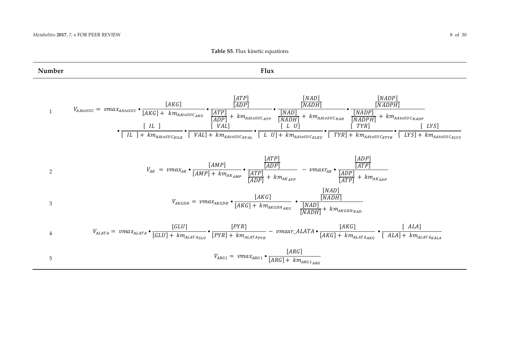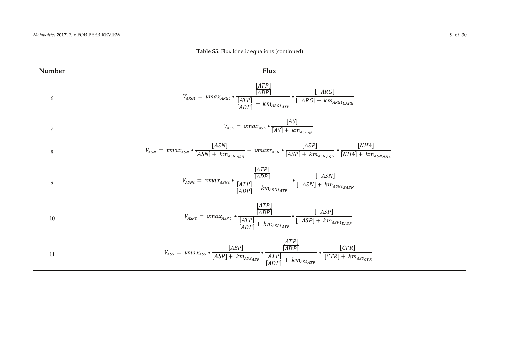| Number           | Flux                                                                                                                                                                                                                 |
|------------------|----------------------------------------------------------------------------------------------------------------------------------------------------------------------------------------------------------------------|
| 6                | $V_{ARGt} = \text{vmax}_{ARGt} \cdot \frac{\frac{[ATP]}{[ADP]}}{\frac{[ATP]}{[ADP]} + \text{km}_{ARGt_{ATP}}} \cdot \frac{[ \text{ } ARG]}{\text{ } [ \text{ } ARG] + \text{km}_{ARGt_{EARG}}}$                      |
| $\boldsymbol{7}$ | $V_{ASL} = \text{vmax}_{ASL} \cdot \frac{[AS]}{[AS] + \text{km}_{ASL_{AS}}}$                                                                                                                                         |
| $\,8\,$          | $V_{ASN} = \text{vmax}_{ASN} \cdot \frac{[ASN]}{[ASN] + \text{km}_{ASN_{ASN}}} - \text{vmax}_{ASN} \cdot \frac{[ASP]}{[ASP] + \text{km}_{ASN_{ASP}}} \cdot \frac{[NH4]}{[NH4] + \text{km}_{ASN_{NH4}}}\$             |
| 9                | $V_{ASNt} = \text{vmax}_{ASNt} \cdot \frac{\frac{[A1I]^{t}}{[ADP]}}{\frac{[ATP]}{[ADP]} + \text{km}_{ASNt_{ATP}}} \cdot \frac{[ASN]}{[ASN] + \text{km}_{ASNt_{EASN}}}$                                               |
| 10               | $V_{ASPt} = \textit{vmax}_{ASPt} \bullet \underbrace{\frac{[ATP]}{[ADP]}}_{[ADP]} + \textit{km}_{ASPt_{ATP}} \bullet \underbrace{[ \textit{ASP}]}_{[ASP] + \textit{km}_{ASPt_{EASP}}}$                               |
| 11               | $V_{ASS} = \textit{vmax}_{ASS} \bullet \frac{[ASP]}{[ASP] + \textit{km}_{ASSASP}} \bullet \frac{\frac{[ATP]}{[ADP]}}{\frac{[ATP]}{[ADP]} + \textit{km}_{ASSATP}} \bullet \frac{[CTR]}{[CTR] + \textit{km}_{ASSCTR}}$ |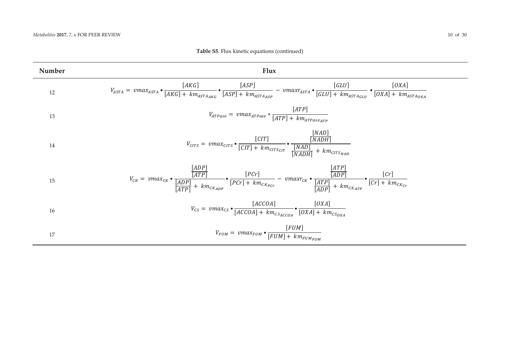| Number | Flux                                                                                                                                                                                                                                                                                                                        |
|--------|-----------------------------------------------------------------------------------------------------------------------------------------------------------------------------------------------------------------------------------------------------------------------------------------------------------------------------|
| 12     | $V_{ASTA} = vmax_{ASTA} \bullet \frac{[AKG]}{[AKG] + km_{ASTA_{AKG}}} \bullet \frac{[ASP]}{[ASP] + km_{ASTA_{ASP}}} - vmaxr_{ASTA} \bullet \frac{[GLU]}{[GLU] + km_{ASTA_{GLU}}} \bullet \frac{[OXA]}{[OXA] + km_{ASTA_{OXA}}}]$                                                                                            |
| 13     | $V_{ATPase} = \textit{vmax}_{ATPase} * \frac{[ATP]}{[ATP] + \textit{km}_{ATPase_{ATP}} }$                                                                                                                                                                                                                                   |
| 14     | $V_{CITS} = \textit{vmax}_{CITS} \bullet \frac{[CIT]}{[CIT] + \textit{km}_{CITS_{CIT}}} \bullet \frac{\frac{[NAD]}{[NADH]}}{\frac{[NAD]}{[NADH]} + \textit{km}_{CITS_{NAD}}}$                                                                                                                                               |
| 15     | $V_{CK} = \textit{vmax}_{CK} \bullet \frac{\frac{[ADP]}{[ATP]}}{\frac{[ADP]}{[ATP]}} + \textit{km}_{CK_{ADP}} \bullet \frac{[PCr]}{[PCr] + \textit{km}_{CK_{PCr}}} - \textit{vmax}_{CK} \bullet \frac{\frac{[ATP]}{[ADP]}}{\frac{[ATP]}{[ADP]}} + \textit{km}_{CK_{ATP}} \bullet \frac{[Cr]}{[Cr] + \textit{km}_{CK_{Cr}}}$ |
| 16     | $V_{CS} = \text{vmax}_{CS} \cdot \frac{[ACCOA]}{[ACCOA] + km_{CSACCOA}} \cdot \frac{[OXA]}{[OXA] + km_{CS_{OXA}}}.$                                                                                                                                                                                                         |
| 17     | $V_{FUM} = \textit{vmax}_{FUM} \bullet \frac{[FUM]}{[FUM] + \textit{km}_{FUM_{FUM}}}$                                                                                                                                                                                                                                       |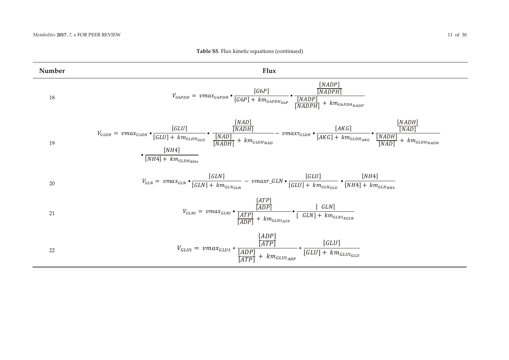#### **Table S5.** Flux kinetic equations (continued)

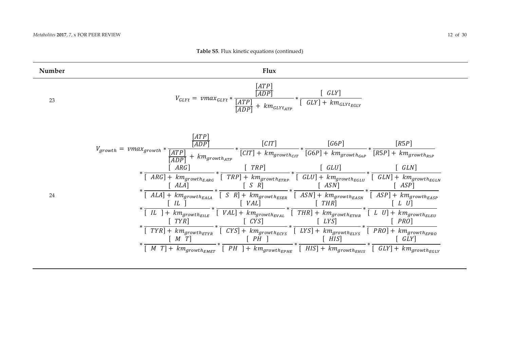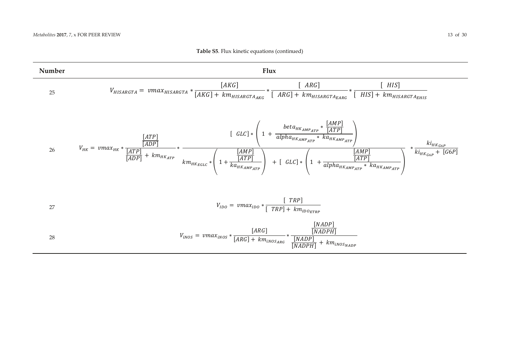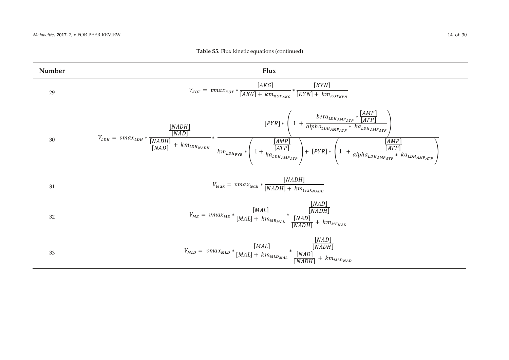

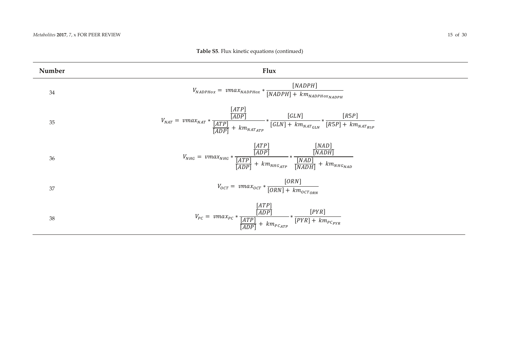| Number | Flux                                                                                                                                                                                                        |
|--------|-------------------------------------------------------------------------------------------------------------------------------------------------------------------------------------------------------------|
| 34     | [NADPH]<br>$V_{NADPHox} = \nu max_{NADPHox} * \frac{1}{NADPH} + km_{NADPHox_{NADPH}}$                                                                                                                       |
| 35     | $V_{NAT} = \textit{vmax}_{NAT} * \frac{\frac{[ATP]}{[ADP]}}{\frac{[ATP]}{[ADP]} + \textit{km}_{NAT_{ATP}}} * \frac{[GLN]}{[GLN] + \textit{km}_{NAT_{GLN}}} * \frac{[R5P]}{[R5P] + \textit{km}_{NAT_{R5P}}}$ |
| 36     | $V_{NHG}=\textit{vmax}_{NHG}*\frac{\frac{[ATP]}{[ADP]}}{\frac{[ADP]}{[ADP]}}*\frac{\frac{[NAD]}{[NADH]}}{\frac{[NAD]}{[NADH]}}+\textit{km}_{NHG_{ND}}$                                                      |
| 37     | $V_{ocr} = \text{vmax}_{ocr} * \frac{[ORN]}{[ORN] + \text{km}_{octT_{ORM}}}$                                                                                                                                |
| 38     | $V_{PC} = \text{vmax}_{PC} * \frac{\frac{\text{[OPT]}}{[ADP]}}{\frac{[ATP]}{[ADP]} + \text{km}_{PC_{ATP}}} * \frac{[PNR]}{[PNR] + \text{km}_{PC_{PYR}}}$                                                    |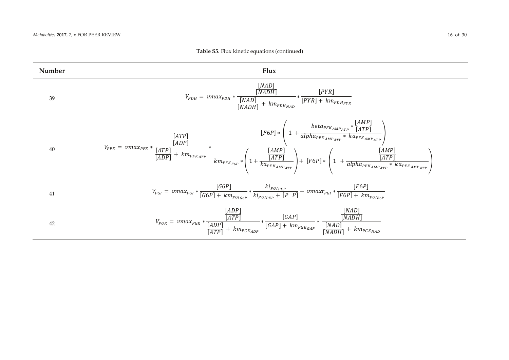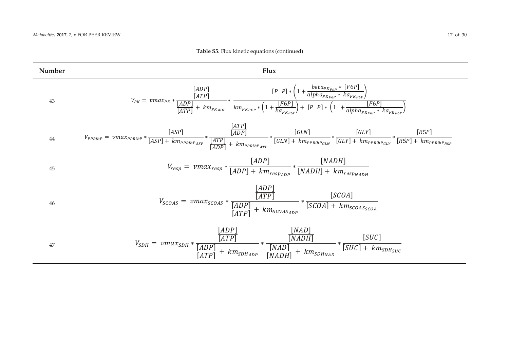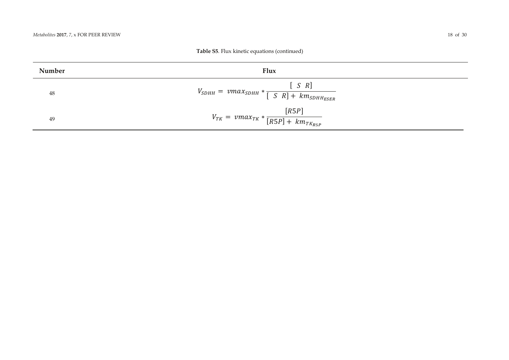| Number | Flux                                                                           |
|--------|--------------------------------------------------------------------------------|
| 48     | $[S \ R]$<br>$V_{SDHH} = \nu max_{SDHH} * \frac{1}{[S \ R] + km_{SDHHESER}}$   |
| 49     | [R5P]<br>$V_{TK} = \text{vmax}_{TK} * \frac{1}{[R5P] + \text{km}_{TK_{RSP}}}.$ |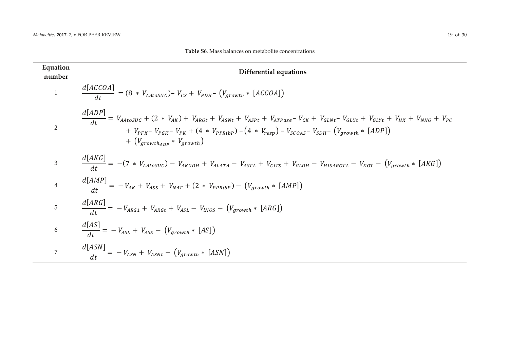| Equation<br>number | Differential equations                                                                                                                                                                                                                                                                                                                      |
|--------------------|---------------------------------------------------------------------------------------------------------------------------------------------------------------------------------------------------------------------------------------------------------------------------------------------------------------------------------------------|
| $\mathbf{1}$       | $\frac{d[ACCOA]}{dt} = (8 * V_{AAtosUC}) - V_{CS} + V_{PDH} - (V_{growth} * [ACCOA])$                                                                                                                                                                                                                                                       |
| $\overline{2}$     | $\frac{d[ADP]}{dt} = V_{AAtosuc} + (2 * V_{AK}) + V_{ARGt} + V_{ASNt} + V_{ASPt} + V_{ATPase} - V_{CK} + V_{GLNt} - V_{GLVt} + V_{GLYt} + V_{HK} + V_{NHG} + V_{PC}$<br>+ $V_{PFK}$ - $V_{PGK}$ - $V_{PK}$ + (4 * $V_{PPRib}$ ) - (4 * $V_{resp}$ ) - $V_{SCOAS}$ - $V_{SDH}$ - ( $V_{growth}$ * [ADP])<br>$+ (V_{arowthAPP} * V_{arowth})$ |
| $\mathfrak{Z}$     | $\frac{d[AKG]}{dt} = -(7 * V_{AAtosUC}) - V_{AKGDH} + V_{ALATA} - V_{ASTA} + V_{CITS} + V_{GLDH} - V_{HISARGTA} - V_{KOT} - (V_{growth} * [AKG])$                                                                                                                                                                                           |
| $\overline{4}$     | $\frac{d[AMP]}{dt} = -V_{AK} + V_{ASS} + V_{NAT} + (2 * V_{PPRibP}) - (V_{growth} * [AMP])$                                                                                                                                                                                                                                                 |
| $5\phantom{.}$     | $\frac{d[ARG]}{dt} = -V_{ARG1} + V_{ARGt} + V_{ASL} - V_{INOS} - (V_{growth} * [ARG])$                                                                                                                                                                                                                                                      |
| $6\,$              | $\frac{d[AS]}{dt} = -V_{ASL} + V_{ASS} - (V_{growth} * [AS])$                                                                                                                                                                                                                                                                               |
| $\overline{7}$     | $\frac{d[ASN]}{dt} = -V_{ASN} + V_{ASNt} - (V_{growth} * [ASN])$                                                                                                                                                                                                                                                                            |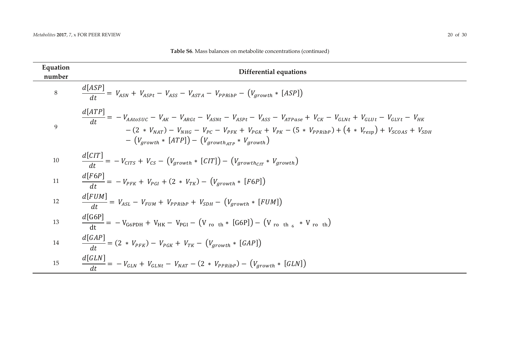| Equation<br>number | <b>Differential equations</b>                                                                                                                                                                                                                                                                                                                           |
|--------------------|---------------------------------------------------------------------------------------------------------------------------------------------------------------------------------------------------------------------------------------------------------------------------------------------------------------------------------------------------------|
| $8\,$              | $\frac{d[ASP]}{dt} = V_{ASN} + V_{ASPt} - V_{ASS} - V_{ASTA} - V_{PPRibP} - (V_{growth} * [ASP])$                                                                                                                                                                                                                                                       |
| 9                  | d[ATP]<br>$\frac{U(t+1)}{dt} = -V_{AAtosuc} - V_{AK} - V_{ARGt} - V_{ASNt} - V_{ASPt} - V_{ASS} - V_{ATPase} + V_{CK} - V_{GLNt} + V_{GLUt} - V_{GLYt} - V_{HK}$<br>$-(2 * V_{NAT}) - V_{NHG} - V_{PC} - V_{PK} + V_{PGK} + V_{PK} - (5 * V_{PPRibP}) + (4 * V_{resp}) + V_{SCOAS} + V_{SDH}$<br>$-(V_{arowth} * [ATP]) - (V_{arowth,rr} * V_{arowth})$ |
| 10                 | $\frac{d[CT]}{dt} = -V_{CITS} + V_{CS} - (V_{growth} * [CT]) - (V_{growth_{CIT}} * V_{growth})$                                                                                                                                                                                                                                                         |
| 11                 | $\frac{d[F6P]}{dt} = -V_{PFK} + V_{PGI} + (2 * V_{TK}) - (V_{growth} * [F6P])$                                                                                                                                                                                                                                                                          |
| 12                 | $\frac{d[FUM]}{dt} = V_{ASL} - V_{FUM} + V_{PPRibP} + V_{SDH} - (V_{growth} * [FUM])$                                                                                                                                                                                                                                                                   |
| 13                 | $\frac{d[G6P]}{dt}$ = -V <sub>G6PDH</sub> + V <sub>HK</sub> - V <sub>PGI</sub> - (V <sub>roth</sub> * [G6P]) - (V <sub>roth<sub>6</sub></sub> * V <sub>roth</sub> )                                                                                                                                                                                     |
| 14                 | $\frac{d[GAP]}{dt} = (2 * V_{PFK}) - V_{PGK} + V_{TK} - (V_{growth} * [GAP])$                                                                                                                                                                                                                                                                           |
| 15                 | $\frac{d[GLN]}{dt} = -V_{GLN} + V_{GLNt} - V_{NAT} - (2 * V_{PPRibP}) - (V_{growth} * [GLN])$                                                                                                                                                                                                                                                           |

| Table S6. Mass balances on metabolite concentrations (continued) |
|------------------------------------------------------------------|
|------------------------------------------------------------------|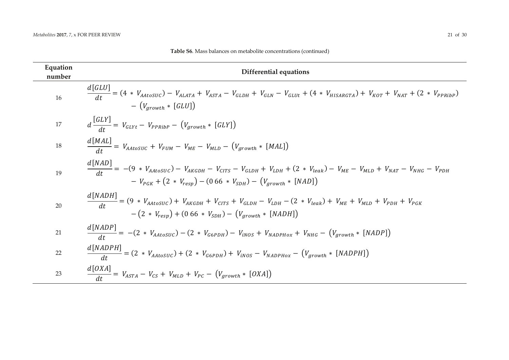| Equation<br>number | <b>Differential equations</b>                                                                                                                                                                                                   |
|--------------------|---------------------------------------------------------------------------------------------------------------------------------------------------------------------------------------------------------------------------------|
| 16                 | $\frac{d[GLU]}{dt} = (4 * V_{AAtosUC}) - V_{ALATA} + V_{ASTA} - V_{GLDH} + V_{GLN} - V_{GLUt} + (4 * V_{HISARGTA}) + V_{KOT} + V_{NAT} + (2 * V_{PPRibP})$<br>$- (V_{arowth} * [GLU])$                                          |
| 17                 | $d\frac{[GLY]}{dt} = V_{GLYt} - V_{PPRibP} - (V_{growth} * [GLY])$                                                                                                                                                              |
| 18                 | $\frac{d[MAL]}{dt} = V_{AAtosUC} + V_{FUM} - V_{ME} - V_{MLD} - (V_{growth} * [MAL])$                                                                                                                                           |
| 19                 | $\frac{d[NAD]}{dt} = -(9 * V_{AAtosUC}) - V_{AKGDH} - V_{CITS} - V_{GLDH} + V_{LDH} + (2 * V_{leak}) - V_{ME} - V_{MLD} + V_{NAT} - V_{NHG} - V_{PDH}$<br>$-V_{PGK} + (2 * V_{resp}) - (0.66 * V_{SDH}) - (V_{arowth} * [NAD])$ |
| 20                 | $\frac{d[NADH]}{dt} = (9 * V_{AAtosUC}) + V_{AKGDH} + V_{CITS} + V_{GLDH} - V_{LDH} - (2 * V_{leak}) + V_{ME} + V_{MLD} + V_{PDH} + V_{PGK}$<br>$-(2 * V_{resn}) + (0.66 * V_{SDH}) - (V_{growth} * [NADH])$                    |
| 21                 | $\frac{d[NADP]}{dt} = -(2 * V_{AAtosUC}) - (2 * V_{G6PDH}) - V_{INOS} + V_{NADPHox} + V_{NHG} - (V_{growth} * [NADP])$                                                                                                          |
| 22                 | $\frac{d[NADPH]}{dt} = (2 * V_{AAtosUC}) + (2 * V_{G6PDH}) + V_{INOS} - V_{NADPHox} - (V_{growth} * [NADPH])$                                                                                                                   |
| 23                 | $\frac{d[OXA]}{dt} = V_{ASTA} - V_{CS} + V_{MLD} + V_{PC} - (V_{growth} * [OXA])$                                                                                                                                               |

#### **Table S6**. Mass balances on metabolite concentrations (continued)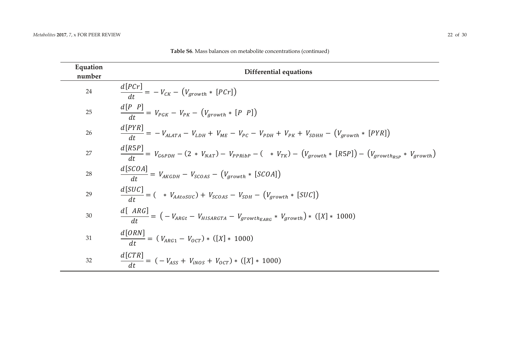| Equation<br>number | <b>Differential equations</b>                                                                                                       |
|--------------------|-------------------------------------------------------------------------------------------------------------------------------------|
| 24                 | $\frac{d[PCr]}{dt} = -V_{CK} - (V_{growth} * [PCr])$                                                                                |
| 25                 | $\frac{d[P \ P]}{dt} = V_{PGK} - V_{PK} - (V_{growth} * [P \ P])$                                                                   |
| 26                 | $\frac{d[PYR]}{dt} = -V_{ALATA} - V_{LDH} + V_{ME} - V_{PC} - V_{PDH} + V_{PK} + V_{SDHH} - (V_{growth} * [PYR])$                   |
| 27                 | $\frac{d[R5P]}{dt} = V_{G6PDH} - (2 * V_{NAT}) - V_{PPRibP} - ( * V_{TK}) - (V_{growth} * [R5P]) - (V_{growth_{R5P}} * V_{growth})$ |
| 28                 | $\frac{d[SCOA]}{dt} = V_{AKGDH} - V_{SCOAS} - (V_{growth} * [SCOA])$                                                                |
| 29                 | $\frac{d[SUC]}{dt} = ( * V_{AAtosUC}) + V_{SCOAS} - V_{SDH} - (V_{growth} * [SUC])$                                                 |
| $30\,$             | $\frac{d[ARG]}{dt} = ( -V_{ARGt} - V_{HISARGTA} - V_{growth_{EARG}} * V_{growth}) * ([X] * 1000)$                                   |
| 31                 | $\frac{d[ORN]}{dt} = (V_{ARG1} - V_{ocr}) * ([X] * 1000)$                                                                           |
| 32                 | $\frac{d[CTR]}{dt} = (-V_{ASS} + V_{INOS} + V_{OCT}) * ([X] * 1000)$                                                                |

**Table S6**. Mass balances on metabolite concentrations (continued)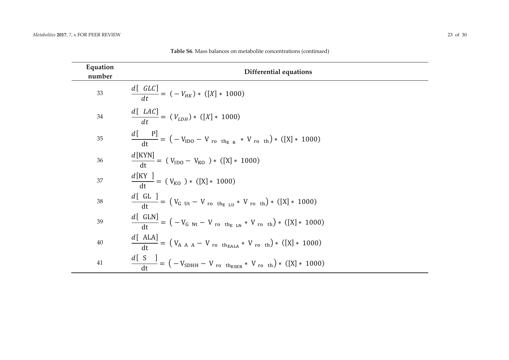ц.

| Equation<br>number | <b>Differential equations</b>                                                                                     |
|--------------------|-------------------------------------------------------------------------------------------------------------------|
| 33                 | $\frac{d[GLC]}{dt} = (-V_{HK}) * ([X] * 1000)$                                                                    |
| 34                 | $\frac{d[LAC]}{dt} = (V_{LDH}) * ([X] * 1000)$                                                                    |
| 35                 | $\frac{d[{\rm P}]}{dt}$ = $({\rm -V_{1D0}} - {\rm V_{ro}}_{\rm th_{E,R}} * {\rm V_{ro}}_{\rm th})*$ ([X] * 1000)  |
| 36                 | $\frac{d[\text{KYN}]}{dt} = (V_{\text{IDO}} - V_{\text{KO}}) * ([X] * 1000)$                                      |
| 37                 | $\frac{d[KY]}{dt}$ = (V <sub>KO</sub> ) * ([X] * 1000)                                                            |
| 38                 | $\frac{d[GL]}{dt}$ = $(V_{G \text{ Ut}} - V_{\text{ro th}_{E \text{ LU}}} * V_{\text{ro th}}) * ([X] * 1000)$     |
| 39                 | $\frac{d[GLN]}{dt} = (-V_{G Nt} - V_{ro th_{E LN}} * V_{ro th}) * ([X] * 1000)$                                   |
| 40                 | $\frac{d[{\text{ALA}}]}{dt} = (V_{A \ A \ A} - V_{\text{ro th}_{\text{EALA}}} * V_{\text{ro th}}) * ([X] * 1000)$ |
| $41\,$             | $\frac{d[}{dt} = (-V_{SDHH} - V_{ro} t_{hESER} * V_{ro} t_{h}) * ([X] * 1000)$                                    |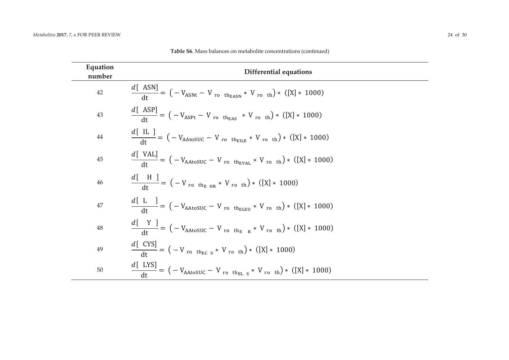ц.

 $\sim$ 

÷.

| Equation<br>number | <b>Differential equations</b>                                                                  |
|--------------------|------------------------------------------------------------------------------------------------|
| $42\,$             | $\frac{d[ASN]}{dt} = (-V_{ASNt} - V_{ro} t_{h_{EASN}} * V_{ro} t_{h})*(X] * 1000)$             |
| $43\,$             | $\frac{d[ASP]}{dt} = (-V_{ASPt} - V_{ro} t_{h_{EAS}} * V_{ro} t_{h}) * ([X] * 1000)$           |
| $\bf 44$           | $\frac{d[{\rm IL}]}{dt} = (-V_{\rm AAtoSUC} - V_{\rm rothelLE} * V_{\rm roth}) * ([X] * 1000)$ |
| $45\,$             | $\frac{d[VAL]}{dt} = (-V_{AAtoSUC} - V_{ro} t_{hEVAL}} * V_{ro} t_{h})* ([X] * 1000)$          |
| 46                 | $\frac{d[H]}{dt} = (-V_{\text{ro the HR}} * V_{\text{ro th}}) * ([X] * 1000)$                  |
| $47\,$             | $\frac{d[L]}{dt} = (-V_{AAtoSUC} - V_{ro} t_{BLEU} * V_{ro} t_{h}) * ([X] * 1000)$             |
| 48                 | $\frac{d[Y]}{dt} = (-V_{AAtoSUC} - V_{roth_E R} * V_{roth}) * ([X] * 1000)$                    |
| 49                 | $\frac{d[CYS]}{dt} = (-V_{\text{ro th}_{EC S}} * V_{\text{ro th}}) * ([X] * 1000)$             |
| $50\,$             | $\frac{d[$ LYS] = ( - V <sub>AAtoSUC</sub> - V ro th <sub>EL S</sub> * V ro th) * ([X] * 1000) |

Table S6. Mass balances on metabolite concentrations (continued)